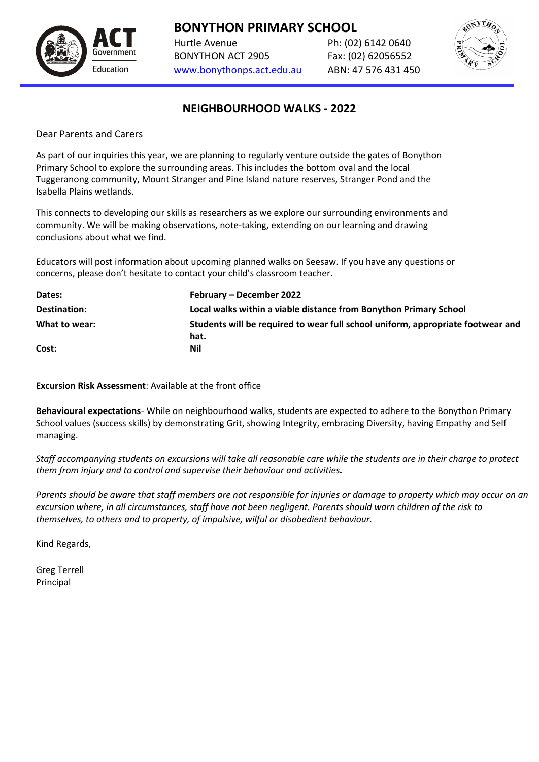

Hurtle Avenue Ph: (02) 6142 0640 BONYTHON ACT 2905 Fax: (02) 62056552 [www.bonythonps.act.edu.au](http://www.bonythonps.act.edu.au/) ABN: 47 576 431 450



## **NEIGHBOURHOOD WALKS - 2022**

Dear Parents and Carers

As part of our inquiries this year, we are planning to regularly venture outside the gates of Bonython Primary School to explore the surrounding areas. This includes the bottom oval and the local Tuggeranong community, Mount Stranger and Pine Island nature reserves, Stranger Pond and the Isabella Plains wetlands.

This connects to developing our skills as researchers as we explore our surrounding environments and community. We will be making observations, note-taking, extending on our learning and drawing conclusions about what we find.

Educators will post information about upcoming planned walks on Seesaw. If you have any questions or concerns, please don't hesitate to contact your child's classroom teacher.

| Dates:        | February – December 2022                                                        |
|---------------|---------------------------------------------------------------------------------|
| Destination:  | Local walks within a viable distance from Bonython Primary School               |
| What to wear: | Students will be required to wear full school uniform, appropriate footwear and |
|               | hat.                                                                            |
| Cost:         | Nil                                                                             |

**Excursion Risk Assessment**: Available at the front office

**Behavioural expectations**- While on neighbourhood walks, students are expected to adhere to the Bonython Primary School values (success skills) by demonstrating Grit, showing Integrity, embracing Diversity, having Empathy and Self managing.

*Staff accompanying students on excursions will take all reasonable care while the students are in their charge to protect them from injury and to control and supervise their behaviour and activities.*

*Parents should be aware that staff members are not responsible for injuries or damage to property which may occur on an excursion where, in all circumstances, staff have not been negligent. Parents should warn children of the risk to themselves, to others and to property, of impulsive, wilful or disobedient behaviour.*

Kind Regards,

Greg Terrell Principal